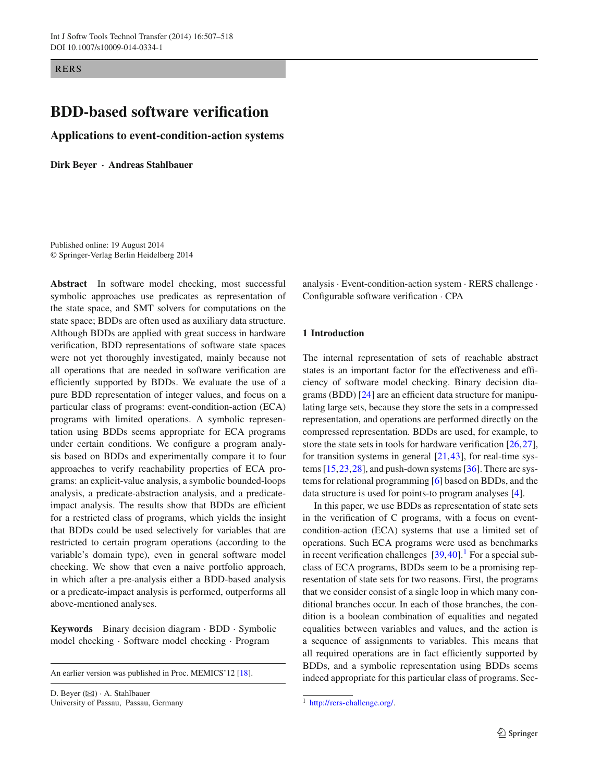RERS

# **BDD-based software verification**

**Applications to event-condition-action systems**

**Dirk Beyer · Andreas Stahlbauer**

Published online: 19 August 2014 © Springer-Verlag Berlin Heidelberg 2014

**Abstract** In software model checking, most successful symbolic approaches use predicates as representation of the state space, and SMT solvers for computations on the state space; BDDs are often used as auxiliary data structure. Although BDDs are applied with great success in hardware verification, BDD representations of software state spaces were not yet thoroughly investigated, mainly because not all operations that are needed in software verification are efficiently supported by BDDs. We evaluate the use of a pure BDD representation of integer values, and focus on a particular class of programs: event-condition-action (ECA) programs with limited operations. A symbolic representation using BDDs seems appropriate for ECA programs under certain conditions. We configure a program analysis based on BDDs and experimentally compare it to four approaches to verify reachability properties of ECA programs: an explicit-value analysis, a symbolic bounded-loops analysis, a predicate-abstraction analysis, and a predicateimpact analysis. The results show that BDDs are efficient for a restricted class of programs, which yields the insight that BDDs could be used selectively for variables that are restricted to certain program operations (according to the variable's domain type), even in general software model checking. We show that even a naive portfolio approach, in which after a pre-analysis either a BDD-based analysis or a predicate-impact analysis is performed, outperforms all above-mentioned analyses.

**Keywords** Binary decision diagram · BDD · Symbolic model checking · Software model checking · Program

An earlier version was published in Proc. MEMICS'12 [\[18\]](#page-11-0).

D. Beyer  $(\boxtimes) \cdot$  A. Stahlbauer University of Passau, Passau, Germany analysis · Event-condition-action system · RERS challenge · Configurable software verification · CPA

### **1 Introduction**

The internal representation of sets of reachable abstract states is an important factor for the effectiveness and efficiency of software model checking. Binary decision diagrams (BDD) [\[24\]](#page-11-1) are an efficient data structure for manipulating large sets, because they store the sets in a compressed representation, and operations are performed directly on the compressed representation. BDDs are used, for example, to store the state sets in tools for hardware verification [\[26](#page-11-2)[,27](#page-11-3)], for transition systems in general  $[21, 43]$  $[21, 43]$  $[21, 43]$ , for real-time systems [\[15](#page-11-6)[,23](#page-11-7)[,28](#page-11-8)], and push-down systems [\[36](#page-11-9)]. There are systems for relational programming [\[6\]](#page-10-0) based on BDDs, and the data structure is used for points-to program analyses [\[4](#page-10-1)].

In this paper, we use BDDs as representation of state sets in the verification of C programs, with a focus on eventcondition-action (ECA) systems that use a limited set of operations. Such ECA programs were used as benchmarks in recent verification challenges  $[39, 40]$  $[39, 40]$  $[39, 40]$ .<sup>[1](#page-0-0)</sup> For a special subclass of ECA programs, BDDs seem to be a promising representation of state sets for two reasons. First, the programs that we consider consist of a single loop in which many conditional branches occur. In each of those branches, the condition is a boolean combination of equalities and negated equalities between variables and values, and the action is a sequence of assignments to variables. This means that all required operations are in fact efficiently supported by BDDs, and a symbolic representation using BDDs seems indeed appropriate for this particular class of programs. Sec-

<span id="page-0-0"></span><sup>1</sup> [http://rers-challenge.org/.](http://rers-challenge.org/)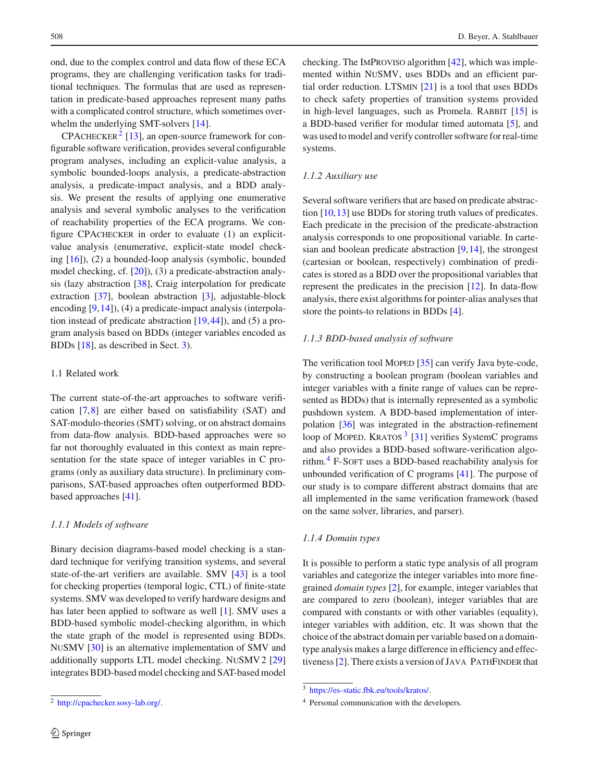ond, due to the complex control and data flow of these ECA programs, they are challenging verification tasks for traditional techniques. The formulas that are used as representation in predicate-based approaches represent many paths with a complicated control structure, which sometimes overwhelm the underlying SMT-solvers [\[14\]](#page-11-12).

 $CP$ ACHECKER<sup>[2](#page-1-0)</sup> [\[13](#page-11-13)], an open-source framework for configurable software verification, provides several configurable program analyses, including an explicit-value analysis, a symbolic bounded-loops analysis, a predicate-abstraction analysis, a predicate-impact analysis, and a BDD analysis. We present the results of applying one enumerative analysis and several symbolic analyses to the verification of reachability properties of the ECA programs. We configure CPAchecker in order to evaluate (1) an explicitvalue analysis (enumerative, explicit-state model checking [\[16](#page-11-14)]), (2) a bounded-loop analysis (symbolic, bounded model checking, cf. [\[20](#page-11-15)]), (3) a predicate-abstraction analysis (lazy abstraction [\[38\]](#page-11-16), Craig interpolation for predicate extraction [\[37\]](#page-11-17), boolean abstraction [\[3\]](#page-10-2), adjustable-block encoding [\[9](#page-11-18)[,14](#page-11-12)]), (4) a predicate-impact analysis (interpolation instead of predicate abstraction [\[19](#page-11-19),[44\]](#page-11-20)), and (5) a program analysis based on BDDs (integer variables encoded as BDDs [\[18\]](#page-11-0), as described in Sect. [3\)](#page-3-0).

# 1.1 Related work

The current state-of-the-art approaches to software verification [\[7,](#page-10-3)[8\]](#page-11-21) are either based on satisfiability (SAT) and SAT-modulo-theories (SMT) solving, or on abstract domains from data-flow analysis. BDD-based approaches were so far not thoroughly evaluated in this context as main representation for the state space of integer variables in C programs (only as auxiliary data structure). In preliminary comparisons, SAT-based approaches often outperformed BDDbased approaches [\[41\]](#page-11-22).

### *1.1.1 Models of software*

Binary decision diagrams-based model checking is a standard technique for verifying transition systems, and several state-of-the-art verifiers are available. SMV [\[43](#page-11-5)] is a tool for checking properties (temporal logic, CTL) of finite-state systems. SMV was developed to verify hardware designs and has later been applied to software as well [\[1\]](#page-10-4). SMV uses a BDD-based symbolic model-checking algorithm, in which the state graph of the model is represented using BDDs. NuSMV [\[30\]](#page-11-23) is an alternative implementation of SMV and additionally supports LTL model checking. NuSMV2 [\[29\]](#page-11-24) integrates BDD-based model checking and SAT-based model

checking. The ImProviso algorithm [\[42](#page-11-25)], which was implemented within NuSMV, uses BDDs and an efficient partial order reduction. LTSmin [\[21\]](#page-11-4) is a tool that uses BDDs to check safety properties of transition systems provided in high-level languages, such as Promela. RABBIT  $[15]$  $[15]$  is a BDD-based verifier for modular timed automata [\[5\]](#page-10-5), and was used to model and verify controller software for real-time systems.

# *1.1.2 Auxiliary use*

Several software verifiers that are based on predicate abstraction [\[10](#page-11-26)[,13](#page-11-13)] use BDDs for storing truth values of predicates. Each predicate in the precision of the predicate-abstraction analysis corresponds to one propositional variable. In cartesian and boolean predicate abstraction [\[9](#page-11-18),[14](#page-11-12)], the strongest (cartesian or boolean, respectively) combination of predicates is stored as a BDD over the propositional variables that represent the predicates in the precision [\[12\]](#page-11-27). In data-flow analysis, there exist algorithms for pointer-alias analyses that store the points-to relations in BDDs [\[4](#page-10-1)].

# *1.1.3 BDD-based analysis of software*

The verification tool MOPED [\[35\]](#page-11-28) can verify Java byte-code, by constructing a boolean program (boolean variables and integer variables with a finite range of values can be represented as BDDs) that is internally represented as a symbolic pushdown system. A BDD-based implementation of interpolation [\[36](#page-11-9)] was integrated in the abstraction-refinement loop of MOPED. KRATOS  $3$  [\[31](#page-11-29)] verifies SystemC programs and also provides a BDD-based software-verification algo-rithm.<sup>[4](#page-1-2)</sup> F-SOFT uses a BDD-based reachability analysis for unbounded verification of C programs [\[41](#page-11-22)]. The purpose of our study is to compare different abstract domains that are all implemented in the same verification framework (based on the same solver, libraries, and parser).

# *1.1.4 Domain types*

It is possible to perform a static type analysis of all program variables and categorize the integer variables into more finegrained *domain types* [\[2](#page-10-6)], for example, integer variables that are compared to zero (boolean), integer variables that are compared with constants or with other variables (equality), integer variables with addition, etc. It was shown that the choice of the abstract domain per variable based on a domaintype analysis makes a large difference in efficiency and effec-tiveness [\[2\]](#page-10-6). There exists a version of JAVA PATHFINDER that

<span id="page-1-0"></span><sup>2</sup> [http://cpachecker.sosy-lab.org/.](http://cpachecker.sosy-lab.org/)

<sup>3</sup> [https://es-static.fbk.eu/tools/kratos/.](https://es-static.fbk.eu/tools/kratos/)

<span id="page-1-2"></span><span id="page-1-1"></span><sup>4</sup> Personal communication with the developers.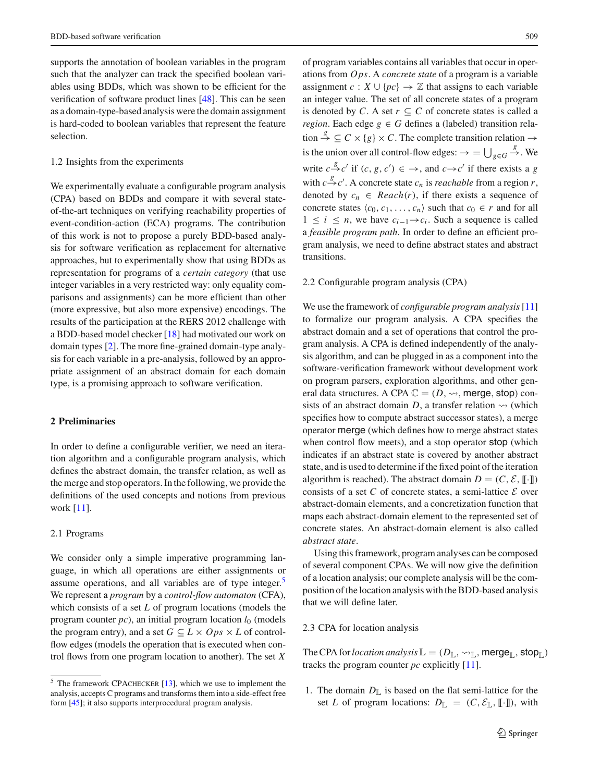supports the annotation of boolean variables in the program such that the analyzer can track the specified boolean variables using BDDs, which was shown to be efficient for the verification of software product lines [\[48](#page-11-30)]. This can be seen as a domain-type-based analysis were the domain assignment is hard-coded to boolean variables that represent the feature selection.

### 1.2 Insights from the experiments

We experimentally evaluate a configurable program analysis (CPA) based on BDDs and compare it with several stateof-the-art techniques on verifying reachability properties of event-condition-action (ECA) programs. The contribution of this work is not to propose a purely BDD-based analysis for software verification as replacement for alternative approaches, but to experimentally show that using BDDs as representation for programs of a *certain category* (that use integer variables in a very restricted way: only equality comparisons and assignments) can be more efficient than other (more expressive, but also more expensive) encodings. The results of the participation at the RERS 2012 challenge with a BDD-based model checker [\[18](#page-11-0)] had motivated our work on domain types [\[2](#page-10-6)]. The more fine-grained domain-type analysis for each variable in a pre-analysis, followed by an appropriate assignment of an abstract domain for each domain type, is a promising approach to software verification.

# **2 Preliminaries**

In order to define a configurable verifier, we need an iteration algorithm and a configurable program analysis, which defines the abstract domain, the transfer relation, as well as the merge and stop operators. In the following, we provide the definitions of the used concepts and notions from previous work [\[11](#page-11-31)].

### 2.1 Programs

We consider only a simple imperative programming language, in which all operations are either assignments or assume operations, and all variables are of type integer.<sup>[5](#page-2-0)</sup> We represent a *program* by a *control-flow automaton* (CFA), which consists of a set *L* of program locations (models the program counter  $pc$ ), an initial program location  $l_0$  (models the program entry), and a set  $G \subseteq L \times Ops \times L$  of controlflow edges (models the operation that is executed when control flows from one program location to another). The set *X* of program variables contains all variables that occur in operations from *Ops*. A *concrete state* of a program is a variable assignment *c* :  $X \cup \{pc\} \rightarrow \mathbb{Z}$  that assigns to each variable an integer value. The set of all concrete states of a program is denoted by *C*. A set  $r \subseteq C$  of concrete states is called a *region*. Each edge  $g \in G$  defines a (labeled) transition relation  $\stackrel{g}{\rightarrow} \subseteq C \times \{g\} \times C$ . The complete transition relation  $\rightarrow$ is the union over all control-flow edges:  $\rightarrow$  =  $\bigcup_{g \in G}$  $\xrightarrow{g}$ . We write  $c \xrightarrow{g} c'$  if  $(c, g, c') \in \rightarrow$ , and  $c \rightarrow c'$  if there exists a *g* with  $c \stackrel{g}{\rightarrow} c'$ . A concrete state  $c_n$  is *reachable* from a region *r*, denoted by  $c_n \in \text{Reach}(r)$ , if there exists a sequence of concrete states  $\langle c_0, c_1, \ldots, c_n \rangle$  such that  $c_0 \in r$  and for all  $1 \leq i \leq n$ , we have  $c_{i-1} \rightarrow c_i$ . Such a sequence is called a *feasible program path*. In order to define an efficient program analysis, we need to define abstract states and abstract transitions.

### 2.2 Configurable program analysis (CPA)

We use the framework of *configurable program analysis*[\[11\]](#page-11-31) to formalize our program analysis. A CPA specifies the abstract domain and a set of operations that control the program analysis. A CPA is defined independently of the analysis algorithm, and can be plugged in as a component into the software-verification framework without development work on program parsers, exploration algorithms, and other general data structures. A CPA  $\mathbb{C} = (D, \rightsquigarrow, \text{merge}, \text{stop})$  consists of an abstract domain  $D$ , a transfer relation  $\rightsquigarrow$  (which specifies how to compute abstract successor states), a merge operator merge (which defines how to merge abstract states when control flow meets), and a stop operator stop (which indicates if an abstract state is covered by another abstract state, and is used to determine if the fixed point of the iteration algorithm is reached). The abstract domain  $D = (C, \mathcal{E}, [\![\cdot]\!])$ consists of a set C of concrete states, a semi-lattice  $\mathcal E$  over abstract-domain elements, and a concretization function that maps each abstract-domain element to the represented set of concrete states. An abstract-domain element is also called *abstract state*.

Using this framework, program analyses can be composed of several component CPAs. We will now give the definition of a location analysis; our complete analysis will be the composition of the location analysis with the BDD-based analysis that we will define later.

### 2.3 CPA for location analysis

The CPA for *location analysis*  $\mathbb{L} = (D_{\mathbb{L}}, \leadsto_{\mathbb{L}}, \text{merge}_{\mathbb{L}}, \text{stop}_{\mathbb{L}})$ tracks the program counter *pc* explicitly [\[11\]](#page-11-31).

1. The domain  $D_{\mathbb{L}}$  is based on the flat semi-lattice for the set *L* of program locations:  $D_{\mathbb{L}} = (C, \mathcal{E}_{\mathbb{L}}, [\![\cdot]\!])$ , with

<span id="page-2-0"></span><sup>5</sup> The framework CPAchecker [\[13\]](#page-11-13), which we use to implement the analysis, accepts C programs and transforms them into a side-effect free form [\[45\]](#page-11-32); it also supports interprocedural program analysis.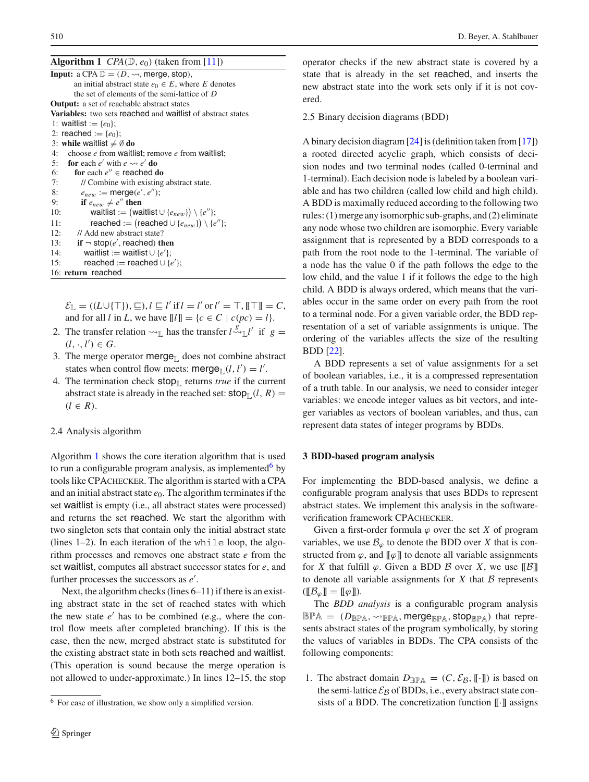<span id="page-3-1"></span>

| <b>Algorithm 1</b> $CPA(\mathbb{D}, e_0)$ (taken from [11])                           |
|---------------------------------------------------------------------------------------|
| <b>Input:</b> a CPA $\mathbb{D} = (D, \rightsquigarrow, \text{merge}, \text{stop})$ , |
| an initial abstract state $e_0 \in E$ , where E denotes                               |
| the set of elements of the semi-lattice of D                                          |
| <b>Output:</b> a set of reachable abstract states                                     |
| <b>Variables:</b> two sets reached and waitlist of abstract states                    |
| 1: waitlist := $\{e_0\}$ ;                                                            |
| 2: reached := $\{e_0\}$ ;                                                             |
| 3: while waitlist $\neq \emptyset$ do                                                 |
| 4: choose $e$ from waitlist; remove $e$ from waitlist;                                |
| 5: for each e' with $e \rightarrow e'$ do                                             |
| for each $e'' \in$ reached do<br>6:                                                   |
| 7:<br>// Combine with existing abstract state.                                        |
| 8:<br>$e_{new} := \text{merge}(e', e'')$ ;                                            |
| if $e_{new} \neq e''$ then<br>9:                                                      |
| waitlist := (waitlist $\cup$ { $e_{new}$ }) \{ $e''$ };<br>10:                        |
| reached := (reached $\cup \{e_{new}\}\$ ) \{ $e''\}$ ;<br>11:                         |
| 12:<br>// Add new abstract state?                                                     |
| if $\neg$ stop(e', reached) then<br>13:                                               |
| 14:<br>waitlist := waitlist $\cup \{e'\};$                                            |
| reached := reached $\cup \{e'\}$ ;<br>15:                                             |
| 16: return reached                                                                    |

 $\mathcal{E}_{\mathbb{L}} = ((L \cup \{\top\}), \sqsubseteq), l \sqsubseteq l' \text{ if } l = l' \text{ or } l' = \top, \llbracket \top \rrbracket = C,$ and for all *l* in *L*, we have  $[[l]] = \{c \in C \mid c(pc) = l\}.$ 

- 2. The transfer relation  $\leadsto_{\mathbb{L}}$  has the transfer  $l \stackrel{\hat{g}}{\leadsto}_{\mathbb{L}} l'$  if  $g =$  $(l, \cdot, l') \in G$ .
- 3. The merge operator merge<sub> $\parallel$ </sub> does not combine abstract states when control flow meets:  $\text{merge}_{\mathbb{L}}(l, l') = l'.$
- 4. The termination check  $stop_{\mathbb{L}}$  returns *true* if the current abstract state is already in the reached set:  $stop_{\mathbb{L}}(l, R)$  =  $(l \in R)$ .

# 2.4 Analysis algorithm

Algorithm [1](#page-3-1) shows the core iteration algorithm that is used to run a configurable program analysis, as implemented $<sup>6</sup>$  $<sup>6</sup>$  $<sup>6</sup>$  by</sup> tools like CPAchecker. The algorithm is started with a CPA and an initial abstract state  $e_0$ . The algorithm terminates if the set waitlist is empty (i.e., all abstract states were processed) and returns the set reached. We start the algorithm with two singleton sets that contain only the initial abstract state (lines 1–2). In each iteration of the while loop, the algorithm processes and removes one abstract state *e* from the set waitlist, computes all abstract successor states for *e*, and further processes the successors as *e* .

Next, the algorithm checks (lines 6–11) if there is an existing abstract state in the set of reached states with which the new state  $e'$  has to be combined (e.g., where the control flow meets after completed branching). If this is the case, then the new, merged abstract state is substituted for the existing abstract state in both sets reached and waitlist. (This operation is sound because the merge operation is not allowed to under-approximate.) In lines 12–15, the stop operator checks if the new abstract state is covered by a state that is already in the set reached, and inserts the new abstract state into the work sets only if it is not covered.

2.5 Binary decision diagrams (BDD)

A binary decision diagram [\[24](#page-11-1)] is (definition taken from [\[17\]](#page-11-33)) a rooted directed acyclic graph, which consists of decision nodes and two terminal nodes (called 0-terminal and 1-terminal). Each decision node is labeled by a boolean variable and has two children (called low child and high child). A BDD is maximally reduced according to the following two rules: (1) merge any isomorphic sub-graphs, and (2) eliminate any node whose two children are isomorphic. Every variable assignment that is represented by a BDD corresponds to a path from the root node to the 1-terminal. The variable of a node has the value 0 if the path follows the edge to the low child, and the value 1 if it follows the edge to the high child. A BDD is always ordered, which means that the variables occur in the same order on every path from the root to a terminal node. For a given variable order, the BDD representation of a set of variable assignments is unique. The ordering of the variables affects the size of the resulting BDD [\[22\]](#page-11-34).

A BDD represents a set of value assignments for a set of boolean variables, i.e., it is a compressed representation of a truth table. In our analysis, we need to consider integer variables: we encode integer values as bit vectors, and integer variables as vectors of boolean variables, and thus, can represent data states of integer programs by BDDs.

### <span id="page-3-0"></span>**3 BDD-based program analysis**

For implementing the BDD-based analysis, we define a configurable program analysis that uses BDDs to represent abstract states. We implement this analysis in the softwareverification framework CPACHECKER.

Given a first-order formula  $\varphi$  over the set *X* of program variables, we use  $\mathcal{B}_{\varphi}$  to denote the BDD over *X* that is constructed from  $\varphi$ , and  $[\![\varphi]\!]$  to denote all variable assignments for *X* that fulfill  $\varphi$ . Given a BDD *B* over *X*, we use  $\|\beta\|$ to denote all variable assignments for  $X$  that  $B$  represents  $(\llbracket \mathcal{B}_{\varnothing} \rrbracket = \llbracket \varphi \rrbracket).$ 

The *BDD analysis* is a configurable program analysis  $\mathbb{BPA} = (D_{\mathbb{BPA}}, \leadsto_{\mathbb{BPA}}, \mathsf{merge}_{\mathbb{BPA}}, \mathsf{stop}_{\mathbb{BPA}})$  that represents abstract states of the program symbolically, by storing the values of variables in BDDs. The CPA consists of the following components:

1. The abstract domain  $D_{\mathbb{B} \mathbb{P} \mathbb{A}} = (C, \mathcal{E}_{\mathcal{B}}, [\![\cdot]\!])$  is based on the semi-lattice  $\mathcal{E}_{\mathcal{B}}$  of BDDs, i.e., every abstract state consists of a BDD. The concretization function  $\llbracket \cdot \rrbracket$  assigns

<span id="page-3-2"></span><sup>6</sup> For ease of illustration, we show only a simplified version.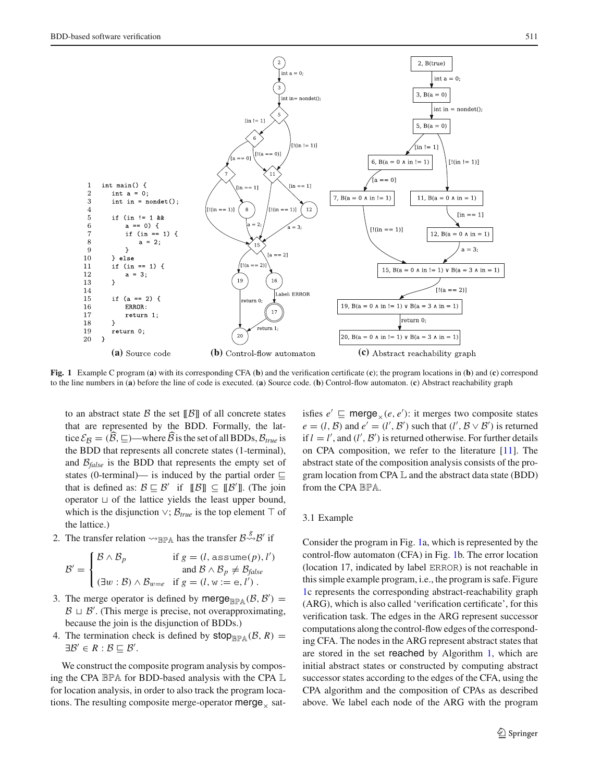

<span id="page-4-0"></span>**Fig. 1** Example C program (**a**) with its corresponding CFA (**b**) and the verification certificate (**c**); the program locations in (**b**) and (**c**) correspond to the line numbers in (**a**) before the line of code is executed. (**a**) Source code. (**b**) Control-flow automaton. (**c**) Abstract reachability graph

to an abstract state  $\beta$  the set  $\|\beta\|$  of all concrete states that are represented by the BDD. Formally, the lattice  $\mathcal{E}_B = (\hat{B}, \subseteq)$ —where  $\hat{B}$  is the set of all BDDs,  $\mathcal{B}_{true}$  is the BDD that represents all concrete states (1-terminal), and  $\mathcal{B}_{\text{false}}$  is the BDD that represents the empty set of states (0-terminal)— is induced by the partial order  $\sqsubseteq$ that is defined as:  $B \subseteq B'$  if  $[\![B]\!] \subseteq [\![B']\!]$ . (The join operator  $\sqcup$  of the lattice yields the least upper bound, which is the disjunction  $\vee$ ;  $\mathcal{B}_{true}$  is the top element  $\top$  of the lattice.)

2. The transfer relation  $\rightsquigarrow_{\mathbb{B} \mathbb{P} \mathbb{A}}$  has the transfer  $\mathcal{B}^{\mathcal{S}} \rightsquigarrow \mathcal{B}'$  if

$$
\mathcal{B}' = \begin{cases} \mathcal{B} \wedge \mathcal{B}_p & \text{if } g = (l, \text{ assume}(p), l') \\ \text{and } \mathcal{B} \wedge \mathcal{B}_p \neq \mathcal{B}_{false} \\ (\exists w : \mathcal{B}) \wedge \mathcal{B}_{w=e} & \text{if } g = (l, w := e, l') \end{cases}.
$$

- 3. The merge operator is defined by merge $_{\mathbb{BPA}}(\mathcal{B}, \mathcal{B}') =$  $B \sqcup B'$ . (This merge is precise, not overapproximating, because the join is the disjunction of BDDs.)
- 4. The termination check is defined by  $stop_{\mathbb{R}P\mathbb{A}}(\mathcal{B}, R)$  =  $\exists \mathcal{B}' \in R : \mathcal{B} \sqsubseteq \mathcal{B}'.$

We construct the composite program analysis by composing the CPA BPA for BDD-based analysis with the CPA L for location analysis, in order to also track the program locations. The resulting composite merge-operator merge  $\overline{\phantom{a}}$  sat-

isfies  $e' \sqsubseteq \text{merge}_\times(e, e')$ : it merges two composite states  $e = (l, \mathcal{B})$  and  $e' = (l', \mathcal{B}')$  such that  $(l', \mathcal{B} \vee \mathcal{B}')$  is returned if  $l = l'$ , and  $(l', \mathcal{B}')$  is returned otherwise. For further details on CPA composition, we refer to the literature [\[11\]](#page-11-31). The abstract state of the composition analysis consists of the program location from CPA L and the abstract data state (BDD) from the CPA BPA.

### 3.1 Example

Consider the program in Fig. [1a](#page-4-0), which is represented by the control-flow automaton (CFA) in Fig. [1b](#page-4-0). The error location (location 17, indicated by label ERROR) is not reachable in this simple example program, i.e., the program is safe. Figure [1c](#page-4-0) represents the corresponding abstract-reachability graph (ARG), which is also called 'verification certificate', for this verification task. The edges in the ARG represent successor computations along the control-flow edges of the corresponding CFA. The nodes in the ARG represent abstract states that are stored in the set reached by Algorithm [1,](#page-3-1) which are initial abstract states or constructed by computing abstract successor states according to the edges of the CFA, using the CPA algorithm and the composition of CPAs as described above. We label each node of the ARG with the program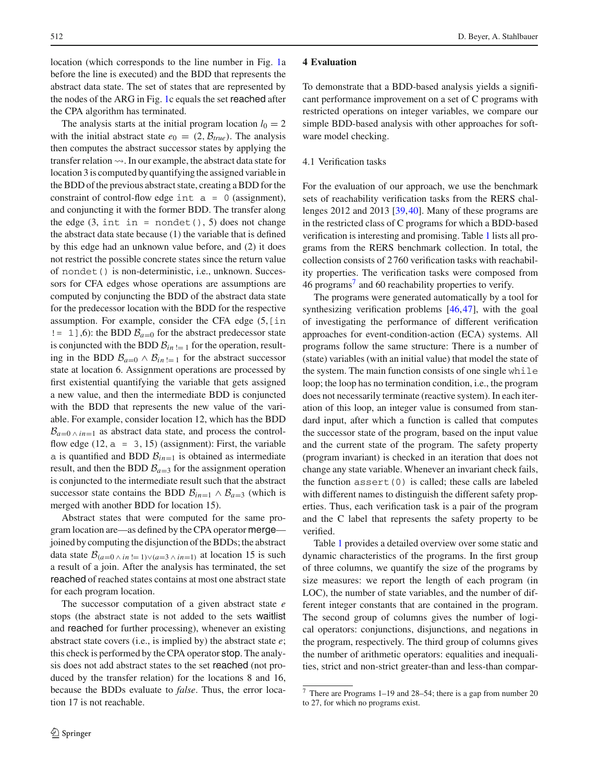location (which corresponds to the line number in Fig. [1a](#page-4-0) before the line is executed) and the BDD that represents the abstract data state. The set of states that are represented by the nodes of the ARG in Fig. [1c](#page-4-0) equals the set reached after the CPA algorithm has terminated.

The analysis starts at the initial program location  $l_0 = 2$ with the initial abstract state  $e_0 = (2, \mathcal{B}_{true})$ . The analysis then computes the abstract successor states by applying the transfer relation  $\rightsquigarrow$ . In our example, the abstract data state for location 3 is computed by quantifying the assigned variable in the BDD of the previous abstract state, creating a BDD for the constraint of control-flow edge int  $a = 0$  (assignment), and conjuncting it with the former BDD. The transfer along the edge  $(3, int in = nondet(), 5)$  does not change the abstract data state because (1) the variable that is defined by this edge had an unknown value before, and (2) it does not restrict the possible concrete states since the return value of nondet() is non-deterministic, i.e., unknown. Successors for CFA edges whose operations are assumptions are computed by conjuncting the BDD of the abstract data state for the predecessor location with the BDD for the respective assumption. For example, consider the CFA edge  $(5, [\text{in}])$  $!= 1$ ],6): the BDD  $B_{a=0}$  for the abstract predecessor state is conjuncted with the BDD  $B_{in}$  != 1 for the operation, resulting in the BDD  $B_{a=0} \wedge B_{in} = 1$  for the abstract successor state at location 6. Assignment operations are processed by first existential quantifying the variable that gets assigned a new value, and then the intermediate BDD is conjuncted with the BDD that represents the new value of the variable. For example, consider location 12, which has the BDD  $B_{a=0 \land in=1}$  as abstract data state, and process the controlflow edge (12,  $a = 3, 15$ ) (assignment): First, the variable a is quantified and BDD  $B_{in=1}$  is obtained as intermediate result, and then the BDD  $B_{a=3}$  for the assignment operation is conjuncted to the intermediate result such that the abstract successor state contains the BDD  $B_{in=1} \wedge B_{a=3}$  (which is merged with another BDD for location 15).

Abstract states that were computed for the same program location are—as defined by the CPA operator merge joined by computing the disjunction of the BDDs; the abstract data state  $B_{(a=0 \land in)} = 1 \lor (a=3 \land in=1)$  at location 15 is such a result of a join. After the analysis has terminated, the set reached of reached states contains at most one abstract state for each program location.

The successor computation of a given abstract state *e* stops (the abstract state is not added to the sets waitlist and reached for further processing), whenever an existing abstract state covers (i.e., is implied by) the abstract state *e*; this check is performed by the CPA operator stop. The analysis does not add abstract states to the set reached (not produced by the transfer relation) for the locations 8 and 16, because the BDDs evaluate to *false*. Thus, the error location 17 is not reachable.

### **4 Evaluation**

To demonstrate that a BDD-based analysis yields a significant performance improvement on a set of C programs with restricted operations on integer variables, we compare our simple BDD-based analysis with other approaches for software model checking.

# 4.1 Verification tasks

For the evaluation of our approach, we use the benchmark sets of reachability verification tasks from the RERS challenges 2012 and 2013 [\[39](#page-11-10)[,40](#page-11-11)]. Many of these programs are in the restricted class of C programs for which a BDD-based verification is interesting and promising. Table [1](#page-6-0) lists all programs from the RERS benchmark collection. In total, the collection consists of 2 760 verification tasks with reachability properties. The verification tasks were composed from  $46$  programs<sup>[7](#page-5-0)</sup> and 60 reachability properties to verify.

The programs were generated automatically by a tool for synthesizing verification problems [\[46](#page-11-35)[,47](#page-11-36)], with the goal of investigating the performance of different verification approaches for event-condition-action (ECA) systems. All programs follow the same structure: There is a number of (state) variables (with an initial value) that model the state of the system. The main function consists of one single while loop; the loop has no termination condition, i.e., the program does not necessarily terminate (reactive system). In each iteration of this loop, an integer value is consumed from standard input, after which a function is called that computes the successor state of the program, based on the input value and the current state of the program. The safety property (program invariant) is checked in an iteration that does not change any state variable. Whenever an invariant check fails, the function  $assert(0)$  is called; these calls are labeled with different names to distinguish the different safety properties. Thus, each verification task is a pair of the program and the C label that represents the safety property to be verified.

Table [1](#page-6-0) provides a detailed overview over some static and dynamic characteristics of the programs. In the first group of three columns, we quantify the size of the programs by size measures: we report the length of each program (in LOC), the number of state variables, and the number of different integer constants that are contained in the program. The second group of columns gives the number of logical operators: conjunctions, disjunctions, and negations in the program, respectively. The third group of columns gives the number of arithmetic operators: equalities and inequalities, strict and non-strict greater-than and less-than compar-

<span id="page-5-0"></span><sup>7</sup> There are Programs 1–19 and 28–54; there is a gap from number 20 to 27, for which no programs exist.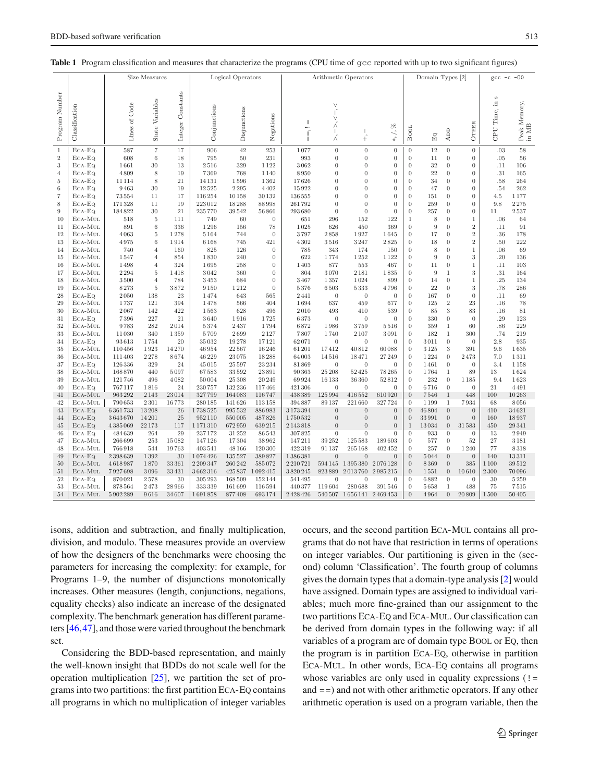|                |                    |                   | Size Measures       |                      |                   | Logical Operators |                  | Arithmetic Operators      |                   | Domain Types [2]            |                          | $-00$<br>$-\mathsf{c}$<br>gcc      |               |                              |                                  |                   |                    |
|----------------|--------------------|-------------------|---------------------|----------------------|-------------------|-------------------|------------------|---------------------------|-------------------|-----------------------------|--------------------------|------------------------------------|---------------|------------------------------|----------------------------------|-------------------|--------------------|
| Program Number | Classification     | Lines of Code     | State Variables     | Constants<br>Integer | Conjunctions      | Disjunctions      | Negations        | $\mathbb{I}$<br>$\vec{r}$ | Ń<br>Ñ            | $\ddotplus$                 | $*,/, \%$                | <b>BOOL</b>                        | Eq            | ADD                          | OTHER                            | S<br>CPU Time, in | Peak Memory, in MB |
| 1              | $ECA-EQ$           | 587               | $\scriptstyle{7}$   | 17                   | 906               | 42                | 253              | 1077                      | $\boldsymbol{0}$  | $\overline{0}$              | $\boldsymbol{0}$         | $\boldsymbol{0}$                   | 12            | $\boldsymbol{0}$             | $\boldsymbol{0}$                 | .03               | 58                 |
| $\,2$          | ECA-EQ             | 608               | 6                   | 18                   | 795               | 50                | 231              | 993                       | $\mathbf{0}$      | $\boldsymbol{0}$            | $\boldsymbol{0}$         | $\theta$                           | 11            | $\boldsymbol{0}$             | $\theta$                         | .05               | 56                 |
| $\sqrt{3}$     | ECA-EQ             | 1661              | 30                  | 13                   | 2516              | 329               | 1122             | 3062                      | $\boldsymbol{0}$  | $\boldsymbol{0}$            | $\boldsymbol{0}$         | $\theta$                           | 32            | $\boldsymbol{0}$             | $\theta$                         | .11               | 106                |
| $\overline{4}$ | $ECA-EQ$           | 4809              | 8                   | 19                   | 7369              | 768               | 1 1 4 0          | 8950                      | 0                 | 0                           | $\boldsymbol{0}$         | $\theta$                           | 22            | $\boldsymbol{0}$             | $\boldsymbol{0}$                 | .31               | 165                |
| 5              | ECA-EQ             | 11114             | 8                   | 21                   | 14 13 1           | 1596              | 1362             | 17626                     | $\overline{0}$    | $\overline{0}$              | $\overline{0}$           | $\overline{0}$                     | 34            | $\theta$                     | $\theta$                         | .58               | 264                |
| 6              | ECA-EQ             | 9463              | 30                  | 19                   | 12525             | 2295              | 4 4 0 2          | 15922                     | $\boldsymbol{0}$  | $\boldsymbol{0}$            | $\boldsymbol{0}$         | $\overline{0}$                     | 47            | $\theta$                     | $\theta$                         | .54               | 262                |
| $\overline{7}$ | ECA-EQ             | 73554             | 11                  | 17                   | 116254            | 10158             | 30132            | 136 555                   | $\overline{0}$    | $\overline{0}$              | $\boldsymbol{0}$         | $\overline{0}$                     | 151           | $\theta$                     | $\theta$                         | 4.5               | 1177               |
| 8              | $ECA-EQ$           | 171328            | 11                  | 19                   | 223012            | 18288             | 88998            | 261792                    | $\Omega$          | $\boldsymbol{0}$            | $\boldsymbol{0}$         | $\theta$                           | 259           | $\theta$                     | $\theta$                         | 9.8               | 2275               |
| 9              | $ECA-EQ$           | 184822            | 30                  | 21                   | 235770            | 39542             | 56866            | 293680                    | $\theta$          | $\boldsymbol{0}$            | $\boldsymbol{0}$         | $\theta$                           | 257           | $\boldsymbol{0}$             | $\boldsymbol{0}$                 | 11                | 2537               |
| 10             | ECA-MUL            | 518               | 5                   | 111                  | 749               | 60                | $\theta$         | 651                       | 296               | 152                         | 122                      | $\mathbf{1}$                       | 8             | $\boldsymbol{0}$             | 1                                | .06               | 64                 |
| 11             | ECA-MUL            | 891               | 6                   | 336                  | 1296              | 156               | 78               | 1025                      | 626               | 450                         | 369                      | $\boldsymbol{0}$                   | 9             | $\boldsymbol{0}$             | $\overline{2}$<br>$\overline{2}$ | .11               | 91                 |
| 12             | ECA-MUL            | 4063              | 5                   | 1278                 | 5164              | 744               | $\theta$         | 3797                      | 2858              | 1927                        | 1645                     | $\theta$                           | 17            | $\Omega$                     |                                  | .36               | 178                |
| 13<br>14       | ECA-MUL            | 4975<br>740       | 6                   | 1914<br>160          | 6168<br>825       | 745<br>126        | 421<br>$\theta$  | 4302<br>785               | 3516<br>343       | 3247<br>174                 | 2825                     | $\overline{0}$<br>$\theta$         | 18            | $\theta$<br>$\boldsymbol{0}$ | $\overline{2}$<br>$\mathbf{1}$   | .50<br>.06        | 222<br>69          |
| 15             | ECA-MUL<br>ECA-MUL | 1547              | 4<br>$\overline{4}$ | 854                  | 1830              | 240               | $\theta$         | 622                       | 1774              | 1252                        | 150<br>1122              | $\overline{0}$                     | 8<br>9        | $\boldsymbol{0}$             | 3                                | .20               | 136                |
| 16             | ECA-MUL            | 1498              | 4                   | 324                  | 1695              | 258               | $\overline{0}$   | 1403                      | 877               | 553                         | 467                      | $\boldsymbol{0}$                   | 11            | $\boldsymbol{0}$             | 1                                | .11               | 103                |
| 17             | ECA-MUL            | 2294              | 5                   | 1418                 | 3042              | 360               | $\theta$         | 804                       | 3070              | 2181                        | 1835                     | $\boldsymbol{0}$                   | 9             | $\mathbf{1}$                 | 3                                | .31               | 164                |
| 18             | ECA-MUL            | 3500              | $\overline{4}$      | 784                  | 3453              | 684               | $\theta$         | 3467                      | 1357              | 1024                        | 899                      | $\boldsymbol{0}$                   | 14            | $\boldsymbol{0}$             | 1                                | .25               | 134                |
| 19             | ECA-MUL            | 8273              | 5                   | 3872                 | 9150              | 1212              | $\theta$         | 5376                      | 6503              | 5333                        | 4796                     | $\theta$                           | 22            | $\theta$                     | 3                                | .78               | 286                |
| 28             | $ECA-EQ$           | 2050              | 138                 | 23                   | 1474              | 643               | 565              | 2441                      | $\theta$          | $\theta$                    | $\overline{0}$           | $\overline{0}$                     | 167           | $\boldsymbol{0}$             | $\overline{0}$                   | .11               | 69                 |
| 29             | ECA-MUL            | 1737              | 121                 | 394                  | 1478              | 566               | 404              | 1694                      | 637               | 459                         | 677                      | $\theta$                           | 125           | $\sqrt{2}$                   | 23                               | .16               | 78                 |
| 30             | ECA-MUL            | 2067              | 142                 | 422                  | 1563              | 628               | 496              | 2010                      | 493               | 410                         | 539                      | $\theta$                           | 85            | 3                            | 83                               | .16               | 81                 |
| 31             | $ECA-EQ$           | 7396              | 227                 | 21                   | 3640              | 1916              | 1725             | 6373                      | $\boldsymbol{0}$  | $\boldsymbol{0}$            | $\boldsymbol{0}$         | $\overline{0}$                     | 330           | $\boldsymbol{0}$             | $\theta$                         | .29               | 123                |
| 32             | ECA-MUL            | 9783              | 282                 | 2014                 | 5374              | 2437              | 1794             | 6872                      | 1986              | 3759                        | 5516                     | $\boldsymbol{0}$                   | 359           | $\mathbf{1}$                 | 60                               | .86               | 229                |
| 33             | ECA-MUL            | 11030             | 340                 | 1359                 | 5709              | 2699              | 2127             | 7807                      | 1740              | 2107                        | 3091                     | $\boldsymbol{0}$                   | 182           | $\mathbf{1}$                 | 300                              | .74               | 219                |
| 34             | $ECA-EQ$           | 93613             | 1754                | 20                   | 35032             | 19278             | 17121            | 62071                     | $\theta$          | $\boldsymbol{0}$            | $\boldsymbol{0}$         | $\overline{0}$                     | 3011          | $\boldsymbol{0}$             | $\theta$                         | 2.8               | 935                |
| 35             | ECA-MUL            | 110456            | 1923                | 14270                | 46954             | 22567             | 16246            | 61 201                    | 17412             | 40812                       | 60088                    | $\overline{0}$                     | 3125          | 3                            | 391                              | 9.6               | 1635               |
| 36             | ECA-MUL            | 111403            | 2278                | 8674                 | 46 229            | 23075             | 18288            | 64003                     | 14516             | 18471                       | 27 249                   | $\overline{0}$                     | 1224          | $\boldsymbol{0}$             | 2473                             | 7.0               | 1311               |
| 37             | $ECA-EQ$           | 126336            | 329                 | 24                   | 45015             | 25 5 97           | 23 234           | 81869                     | $\theta$          | $\theta$                    | $\boldsymbol{0}$         | $\overline{0}$                     | 1461          | $\boldsymbol{0}$             | $\theta$                         | 3.4               | 1158               |
| 38             | ECA-MUL            | 168870            | 440                 | 5097                 | 67583             | 33592             | 23891            | 90 36 3                   | 25 208            | 52425                       | 78 265                   | $\boldsymbol{0}$                   | 1764          | $\mathbf{1}$                 | 89                               | 13                | 1624               |
| 39             | ECA-MUL            | 121746            | 496                 | 4082                 | 50004             | 25 308            | 20 249           | 69924                     | 16133             | 36360                       | 52812                    | $\boldsymbol{0}$                   | 232           | $\boldsymbol{0}$             | 1185                             | 9.4               | 1623               |
| 40             | $ECA-EQ$           | 767117            | 1816                | 24                   | 230757            | 132 236           | 117466           | 421 306                   | $\theta$          | $\boldsymbol{0}$            | $\boldsymbol{0}$         | $\theta$                           | 6716          | $\boldsymbol{0}$             | $\boldsymbol{0}$                 | 21                | 4491               |
| 41             | ECA-MUL            | 963292            | 2 1 4 3             | 23014                | 327799            | 164083            | 116747           | 438389                    | 125994            | 416552                      | 610920                   | $\boldsymbol{0}$                   | 7546          | 1<br>$\mathbf{1}$            | 448                              | 100               | 10263              |
| 42<br>43       | ECA-MUL<br>ECA-EQ  | 790653<br>6361733 | 2301<br>13208       | 16773<br>26          | 280 185           | 141626<br>995 532 | 113158           | 394887<br>3173394         | 89137<br>$\theta$ | 221 660<br>$\boldsymbol{0}$ | 327724<br>$\overline{0}$ | $\boldsymbol{0}$<br>$\overline{0}$ | 1199<br>46804 | $\boldsymbol{0}$             | 7934<br>$\theta$                 | 68<br>410         | 8056<br>34621      |
| 44             | $ECA-EQ$           | 3643670           | 14 201              | 25                   | 1738525<br>952110 | 550005            | 886983<br>487826 | 1750532                   | $\boldsymbol{0}$  | $\boldsymbol{0}$            | $\boldsymbol{0}$         | $\boldsymbol{0}$                   | 33991         | $\boldsymbol{0}$             | $\theta$                         | 160               | 18937              |
| 45             | $ECA-EQ$           | 4385069           | 22173               | 117                  | 1 171 310         | 672959            | 639 215          | 2143818                   | $\overline{0}$    | $\overline{0}$              | $\overline{0}$           | $1\,$                              | 13034         | $\boldsymbol{0}$             | 31583                            | 450               | 29341              |
| 46             | $ECA-EQ$           | 484639            | 264                 | 29                   | 237172            | 31 25 2           | 86543            | 307825                    | 0                 | $\boldsymbol{0}$            | $\boldsymbol{0}$         | $\boldsymbol{0}$                   | 933           | $\boldsymbol{0}$             | $\boldsymbol{0}$                 | 13                | 2949               |
| 47             | ECA-MUL            | 266699            | 253                 | 15082                | 147126            | 17304             | 38962            | 147211                    | 39 25 2           | 125583                      | 189603                   | $\theta$                           | 577           | $\boldsymbol{0}$             | 52                               | $27\,$            | 3181               |
| 48             | ECA-MUL            | 766918            | 544                 | 19763                | 403541            | 48 166            | 120 300          | 422319                    | 91137             | 265168                      | 402 452                  | $\boldsymbol{0}$                   | 257           | $\boldsymbol{0}$             | 1240                             | 77                | 8318               |
| 49             | $ECA-EQ$           | 2398639           | 1392                | 30                   | 1074426           | 135 5 27          | 389827           | 1386381                   | $\theta$          | $\overline{0}$              | $\boldsymbol{0}$         | $\overline{0}$                     | 5044          | $\overline{0}$               | $\boldsymbol{0}$                 | 140               | 13311              |
| 50             | ECA-MUL            | 4618987           | 1870                | 33361                | 2209347           | 260 242           | 585072           | 2210721                   | 594145            | 1395380                     | 2076128                  | $\overline{0}$                     | 8369          | $\overline{0}$               | 385                              | 1100              | 39512              |
| 51             | ECA-MUL            | 7927698           | 3096                | 33431                | 3662316           | 425 837           | 1092415          | 3820245                   | 823889            | 2013760                     | 2985215                  | $\boldsymbol{0}$                   | 1551          | $\boldsymbol{0}$             | 10610                            | 2300              | 70096              |
| 52             | $ECA-EQ$           | 870021            | 2578                | 30                   | 305 293           | 168 509           | 152144           | 541495                    | $\theta$          | $\overline{0}$              | $\theta$                 | $\boldsymbol{0}$                   | 6882          | $\boldsymbol{0}$             | $\theta$                         | 30                | 5259               |
| 53             | ECA-MUL            | 878564            | 2473                | 28966                | 333 339           | 161699            | 116594           | 440377                    | 119604            | 280688                      | 391546                   | $\overline{0}$                     | 5658          | $\mathbf{1}$                 | 488                              | 75                | 7515               |
| 54             | ECA-MUL            | 5902289           | 9616                | 34607                | 1691858           | 877408            | 693174           | 2 4 2 4 2 6               |                   | 540 507 1 656 141 2 469 453 |                          | $\overline{0}$                     | 4964          | $\overline{0}$               | $20\,809$                        | 1500              | 50405              |
|                |                    |                   |                     |                      |                   |                   |                  |                           |                   |                             |                          |                                    |               |                              |                                  |                   |                    |

<span id="page-6-0"></span>**Table 1** Program classification and measures that characterize the programs (CPU time of gcc reported with up to two significant figures)

isons, addition and subtraction, and finally multiplication, division, and modulo. These measures provide an overview of how the designers of the benchmarks were choosing the parameters for increasing the complexity: for example, for Programs 1–9, the number of disjunctions monotonically increases. Other measures (length, conjunctions, negations, equality checks) also indicate an increase of the designated complexity. The benchmark generation has different parameters [\[46](#page-11-35)[,47](#page-11-36)], and those were varied throughout the benchmark set.

Considering the BDD-based representation, and mainly the well-known insight that BDDs do not scale well for the operation multiplication [\[25\]](#page-11-37), we partition the set of programs into two partitions: the first partition Eca-Eq contains all programs in which no multiplication of integer variables occurs, and the second partition Eca-Mul contains all programs that do not have that restriction in terms of operations on integer variables. Our partitioning is given in the (second) column 'Classification'. The fourth group of columns gives the domain types that a domain-type analysis [\[2](#page-10-6)] would have assigned. Domain types are assigned to individual variables; much more fine-grained than our assignment to the two partitions ECA-EQ and ECA-MUL. Our classification can be derived from domain types in the following way: if all variables of a program are of domain type BOOL or EQ, then the program is in partition Eca-Eq, otherwise in partition Eca-Mul. In other words, Eca-Eq contains all programs whose variables are only used in equality expressions  $($ ! and ==) and not with other arithmetic operators. If any other arithmetic operation is used on a program variable, then the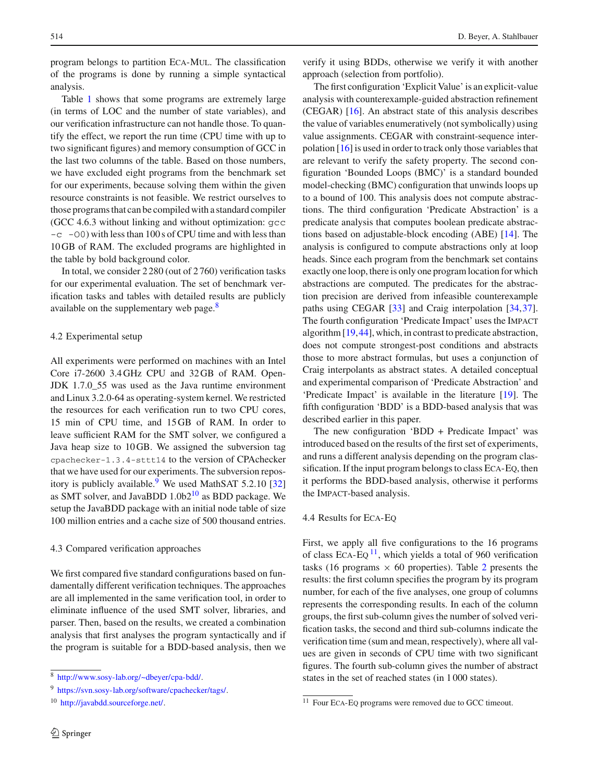program belongs to partition Eca-Mul. The classification of the programs is done by running a simple syntactical analysis.

Table [1](#page-6-0) shows that some programs are extremely large (in terms of LOC and the number of state variables), and our verification infrastructure can not handle those. To quantify the effect, we report the run time (CPU time with up to two significant figures) and memory consumption of GCC in the last two columns of the table. Based on those numbers, we have excluded eight programs from the benchmark set for our experiments, because solving them within the given resource constraints is not feasible. We restrict ourselves to those programs that can be compiled with a standard compiler (GCC 4.6.3 without linking and without optimization: gcc  $-c$  -O0) with less than 100 s of CPU time and with less than 10 GB of RAM. The excluded programs are highlighted in the table by bold background color.

In total, we consider 2 280 (out of 2 760) verification tasks for our experimental evaluation. The set of benchmark verification tasks and tables with detailed results are publicly available on the supplementary web page.<sup>8</sup>

### 4.2 Experimental setup

All experiments were performed on machines with an Intel Core i7-2600 3.4 GHz CPU and 32 GB of RAM. Open-JDK 1.7.0\_55 was used as the Java runtime environment and Linux 3.2.0-64 as operating-system kernel. We restricted the resources for each verification run to two CPU cores, 15 min of CPU time, and 15 GB of RAM. In order to leave sufficient RAM for the SMT solver, we configured a Java heap size to 10 GB. We assigned the subversion tag cpachecker-1.3.4-sttt14 to the version of CPAchecker that we have used for our experiments. The subversion repos-itory is publicly available.<sup>[9](#page-7-1)</sup> We used MathSAT 5.2.10 [\[32\]](#page-11-38) as SMT solver, and JavaBDD 1.0b[210](#page-7-2) as BDD package. We setup the JavaBDD package with an initial node table of size 100 million entries and a cache size of 500 thousand entries.

#### 4.3 Compared verification approaches

We first compared five standard configurations based on fundamentally different verification techniques. The approaches are all implemented in the same verification tool, in order to eliminate influence of the used SMT solver, libraries, and parser. Then, based on the results, we created a combination analysis that first analyses the program syntactically and if the program is suitable for a BDD-based analysis, then we verify it using BDDs, otherwise we verify it with another approach (selection from portfolio).

The first configuration 'Explicit Value' is an explicit-value analysis with counterexample-guided abstraction refinement (CEGAR) [\[16](#page-11-14)]. An abstract state of this analysis describes the value of variables enumeratively (not symbolically) using value assignments. CEGAR with constraint-sequence interpolation [\[16\]](#page-11-14) is used in order to track only those variables that are relevant to verify the safety property. The second configuration 'Bounded Loops (BMC)' is a standard bounded model-checking (BMC) configuration that unwinds loops up to a bound of 100. This analysis does not compute abstractions. The third configuration 'Predicate Abstraction' is a predicate analysis that computes boolean predicate abstractions based on adjustable-block encoding (ABE) [\[14\]](#page-11-12). The analysis is configured to compute abstractions only at loop heads. Since each program from the benchmark set contains exactly one loop, there is only one program location for which abstractions are computed. The predicates for the abstraction precision are derived from infeasible counterexample paths using CEGAR [\[33\]](#page-11-39) and Craig interpolation [\[34](#page-11-40)[,37](#page-11-17)]. The fourth configuration 'Predicate Impact' uses the Impact algorithm [\[19,](#page-11-19)[44\]](#page-11-20), which, in contrast to predicate abstraction, does not compute strongest-post conditions and abstracts those to more abstract formulas, but uses a conjunction of Craig interpolants as abstract states. A detailed conceptual and experimental comparison of 'Predicate Abstraction' and 'Predicate Impact' is available in the literature [\[19\]](#page-11-19). The fifth configuration 'BDD' is a BDD-based analysis that was described earlier in this paper.

The new configuration 'BDD + Predicate Impact' was introduced based on the results of the first set of experiments, and runs a different analysis depending on the program classification. If the input program belongs to class Eca-Eq, then it performs the BDD-based analysis, otherwise it performs the Impact-based analysis.

### 4.4 Results for Eca-Eq

First, we apply all five configurations to the 16 programs of class EcA-Eq $^{11}$  $^{11}$  $^{11}$ , which yields a total of 960 verification tasks (16 programs  $\times$  60 properties). Table [2](#page-8-0) presents the results: the first column specifies the program by its program number, for each of the five analyses, one group of columns represents the corresponding results. In each of the column groups, the first sub-column gives the number of solved verification tasks, the second and third sub-columns indicate the verification time (sum and mean, respectively), where all values are given in seconds of CPU time with two significant figures. The fourth sub-column gives the number of abstract states in the set of reached states (in 1 000 states).

<sup>8</sup> [http://www.sosy-lab.org/~dbeyer/cpa-bdd/.](http://www.sosy-lab.org/~dbeyer/cpa-bdd/)

<span id="page-7-0"></span><sup>9</sup> [https://svn.sosy-lab.org/software/cpachecker/tags/.](https://svn.sosy-lab.org/software/cpachecker/tags/)

<span id="page-7-2"></span><span id="page-7-1"></span><sup>10</sup> [http://javabdd.sourceforge.net/.](http://javabdd.sourceforge.net/)

<span id="page-7-3"></span><sup>&</sup>lt;sup>11</sup> Four ECA-EQ programs were removed due to GCC timeout.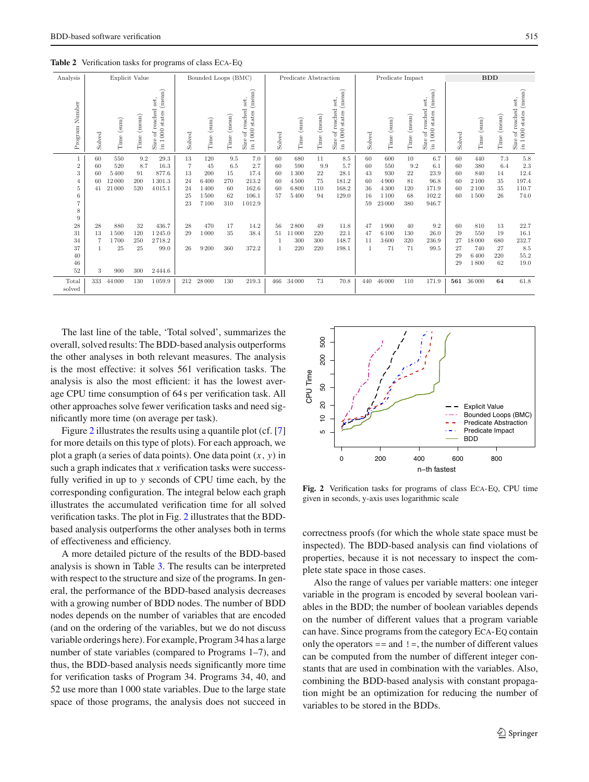<span id="page-8-0"></span>

|  | <b>Table 2</b> Verification tasks for programs of class ECA-EQ |  |  |  |  |
|--|----------------------------------------------------------------|--|--|--|--|
|--|----------------------------------------------------------------|--|--|--|--|

| Analysis                                                   |                            |                                       | Explicit Value                 |                                                                                                          | Bounded Loops (BMC)                   |                                                  |                                            |                                                                                                        | Predicate Abstraction                        |                                            |                                    |                                                                                                                  |                                        | Predicate Impact                                          |                                                 |                                                                                                     | <b>BDD</b>                       |                                                 |                                    |                                                                                |
|------------------------------------------------------------|----------------------------|---------------------------------------|--------------------------------|----------------------------------------------------------------------------------------------------------|---------------------------------------|--------------------------------------------------|--------------------------------------------|--------------------------------------------------------------------------------------------------------|----------------------------------------------|--------------------------------------------|------------------------------------|------------------------------------------------------------------------------------------------------------------|----------------------------------------|-----------------------------------------------------------|-------------------------------------------------|-----------------------------------------------------------------------------------------------------|----------------------------------|-------------------------------------------------|------------------------------------|--------------------------------------------------------------------------------|
| Number<br>Program                                          | Solved                     | Time (sum)                            | (mean)<br>Time                 | (mean)<br>set,<br>reached<br>states<br>$\overline{0}00$<br>$_{\rm of}$<br>Size<br>$\rightarrow$<br>$\Xi$ | Solved                                | Time (sum)                                       | Time (mean)                                | (mean)<br>set,<br>reached<br>states<br>$\frac{1}{2}$<br>$_{\rm of}$<br>Size<br>$\overline{ }$<br>$\Xi$ | Solved                                       | Time (sum)                                 | Time (mean)                        | (mean)<br>set,<br>reached<br>states<br>$\overline{0}00$<br>$_{\rm of}$<br>Size<br>$\overline{\phantom{0}}$<br>E. | Solved                                 | Time (sum)                                                | Time (mean)                                     | (mean)<br>set,<br>of reached<br>$_{\rm states}$<br>$\overline{0}00$<br>Size<br>$\overline{ }$<br>E. | Solved                           | Time (sum)                                      | (mean)<br>Time                     | (mean)<br>of reached set,<br>$000\rm\; states$<br>Size<br>$\overline{ }$<br>£. |
| $\sqrt{2}$<br>3<br>4<br>5<br>6<br>$\overline{7}$<br>8<br>9 | 60<br>60<br>60<br>60<br>41 | 550<br>520<br>5400<br>12000<br>21 000 | 9.2<br>8.7<br>91<br>200<br>520 | 29.3<br>16.3<br>877.6<br>1301.3<br>4015.1                                                                | 13<br>7<br>13<br>24<br>24<br>25<br>23 | 120<br>45<br>200<br>6400<br>1400<br>1500<br>7100 | 9.5<br>6.5<br>15<br>270<br>60<br>62<br>310 | 7.0<br>2.7<br>17.4<br>213.2<br>162.6<br>106.1<br>1012.9                                                | 60<br>60<br>60<br>60<br>60<br>57             | 680<br>590<br>1300<br>4500<br>6800<br>5400 | 11<br>9.9<br>22<br>75<br>110<br>94 | 8.5<br>5.7<br>28.1<br>181.2<br>168.2<br>129.0                                                                    | 60<br>60<br>43<br>60<br>36<br>16<br>59 | 600<br>550<br>930<br>4900<br>4 3 0 0<br>1 1 0 0<br>23 000 | 10<br>9.2<br>$\bf 22$<br>81<br>120<br>68<br>380 | 6.7<br>6.1<br>23.9<br>96.8<br>171.9<br>102.2<br>946.7                                               | 60<br>60<br>60<br>60<br>60<br>60 | 440<br>380<br>840<br>2 1 0 0<br>2 1 0 0<br>1500 | 7.3<br>6.4<br>14<br>35<br>35<br>26 | 5.8<br>2.3<br>12.4<br>197.4<br>110.7<br>74.0                                   |
| 28<br>31<br>34<br>37<br>40<br>46<br>52                     | 28<br>13<br>7<br>3         | 880<br>1500<br>1700<br>25<br>900      | 32<br>120<br>250<br>25<br>300  | 436.7<br>$1\,245.0$<br>2718.2<br>99.0<br>2444.6                                                          | 28<br>29<br>26                        | 470<br>1000<br>9 2 0 0                           | 17<br>35<br>360                            | 14.2<br>38.4<br>372.2                                                                                  | 56<br>51<br>$\overline{1}$<br>$\overline{1}$ | 2800<br>11000<br>300<br>220                | 49<br>220<br>300<br>220            | 11.8<br>22.1<br>148.7<br>198.1                                                                                   | 47<br>47<br>11                         | 1900<br>6 1 0 0<br>3600<br>71                             | 40<br>130<br>320<br>71                          | 9.2<br>26.0<br>236.9<br>99.5                                                                        | 60<br>29<br>27<br>27<br>29<br>29 | 810<br>550<br>18000<br>740<br>6400<br>1800      | 13<br>19<br>680<br>27<br>220<br>62 | 22.7<br>16.1<br>232.7<br>8.5<br>55.2<br>19.0                                   |
| Total<br>solved                                            | 333                        | 44 000                                | 130                            | 1059.9                                                                                                   | 212                                   | 28 000                                           | 130                                        | 219.3                                                                                                  | 466                                          | 34 000                                     | 73                                 | 70.8                                                                                                             | 440                                    | 46 000                                                    | 110                                             | 171.9                                                                                               | 561                              | 36 000                                          | 64                                 | 61.8                                                                           |

The last line of the table, 'Total solved', summarizes the overall, solved results: The BDD-based analysis outperforms the other analyses in both relevant measures. The analysis is the most effective: it solves 561 verification tasks. The analysis is also the most efficient: it has the lowest average CPU time consumption of 64 s per verification task. All other approaches solve fewer verification tasks and need significantly more time (on average per task).

Figure [2](#page-8-1) illustrates the results using a quantile plot (cf. [\[7\]](#page-10-3) for more details on this type of plots). For each approach, we plot a graph (a series of data points). One data point (*x*, *y*) in such a graph indicates that *x* verification tasks were successfully verified in up to *y* seconds of CPU time each, by the corresponding configuration. The integral below each graph illustrates the accumulated verification time for all solved verification tasks. The plot in Fig. [2](#page-8-1) illustrates that the BDDbased analysis outperforms the other analyses both in terms of effectiveness and efficiency.

A more detailed picture of the results of the BDD-based analysis is shown in Table [3.](#page-9-0) The results can be interpreted with respect to the structure and size of the programs. In general, the performance of the BDD-based analysis decreases with a growing number of BDD nodes. The number of BDD nodes depends on the number of variables that are encoded (and on the ordering of the variables, but we do not discuss variable orderings here). For example, Program 34 has a large number of state variables (compared to Programs 1–7), and thus, the BDD-based analysis needs significantly more time for verification tasks of Program 34. Programs 34, 40, and 52 use more than 1 000 state variables. Due to the large state space of those programs, the analysis does not succeed in



<span id="page-8-1"></span>**Fig. 2** Verification tasks for programs of class Eca-Eq, CPU time given in seconds, y-axis uses logarithmic scale

correctness proofs (for which the whole state space must be inspected). The BDD-based analysis can find violations of properties, because it is not necessary to inspect the complete state space in those cases.

Also the range of values per variable matters: one integer variable in the program is encoded by several boolean variables in the BDD; the number of boolean variables depends on the number of different values that a program variable can have. Since programs from the category Eca-Eq contain only the operators  $==$  and  $!=$ , the number of different values can be computed from the number of different integer constants that are used in combination with the variables. Also, combining the BDD-based analysis with constant propagation might be an optimization for reducing the number of variables to be stored in the BDDs.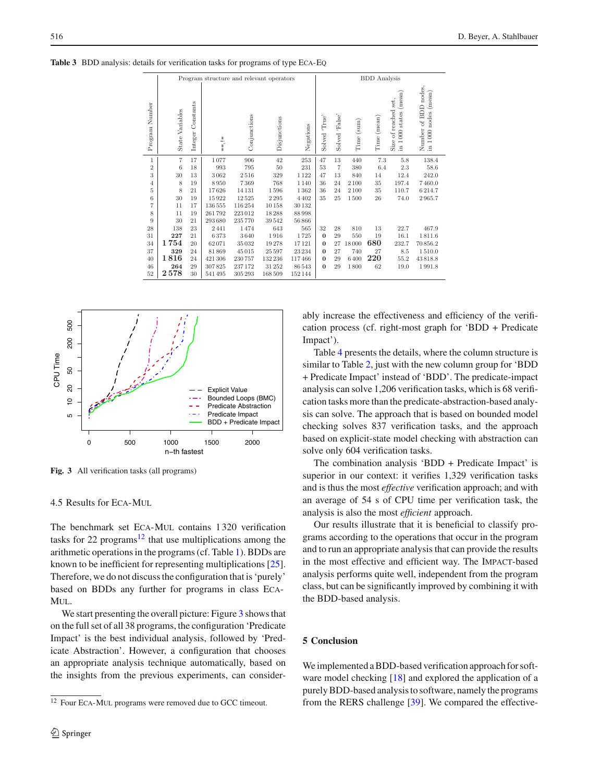|                |                 |                      |                   | Program structure and relevant operators |              |           |                  | <b>BDD</b> Analysis |               |             |                                                                 |                                               |  |  |
|----------------|-----------------|----------------------|-------------------|------------------------------------------|--------------|-----------|------------------|---------------------|---------------|-------------|-----------------------------------------------------------------|-----------------------------------------------|--|--|
| Program Number | State Variables | Constants<br>Integer | $\frac{1}{\cdot}$ | Conjunctions                             | Disjunctions | Negations | 'True'<br>Solved | Solved 'False'      | (sum)<br>Time | Time (mean) | (mean)<br>Size of reached set,<br>$000$ states<br>$\frac{1}{2}$ | Number of BDD nodes,<br>in 1 000 nodes (mean) |  |  |
| $\mathbf{1}$   | 7               | 17                   | 1077              | 906                                      | 42           | 253       | 47               | 13                  | 440           | 7.3         | 5.8                                                             | 138.4                                         |  |  |
| $\overline{2}$ | 6               | 18                   | 993               | 795                                      | $50\,$       | 231       | 53               | $\overline{7}$      | 380           | 6.4         | 2.3                                                             | 58.6                                          |  |  |
| 3              | 30              | 13                   | 3062              | 2516                                     | 329          | 1122      | 47               | 13                  | 840           | 14          | 12.4                                                            | 242.0                                         |  |  |
| $\overline{4}$ | 8               | 19                   | 8950              | 7369                                     | 768          | 1140      | 36               | 24                  | 2 100         | 35          | 197.4                                                           | 7460.0                                        |  |  |
| 5              | 8               | 21                   | 17626             | 14131                                    | 1596         | 1362      | 36               | 24                  | 2 100         | 35          | 110.7                                                           | 6214.7                                        |  |  |
| 6              | 30              | 19                   | 15922             | 12525                                    | 2295         | 4402      | 35               | 25                  | 1500          | 26          | 74.0                                                            | 2965.7                                        |  |  |
| 7              | 11              | 17                   | 136 555           | 116254                                   | 10158        | 30132     |                  |                     |               |             |                                                                 |                                               |  |  |
| 8              | 11              | 19                   | 261792            | 223012                                   | 18288        | 88998     |                  |                     |               |             |                                                                 |                                               |  |  |
| 9              | 30              | 21                   | 293680            | 235770                                   | 39542        | 56866     |                  |                     |               |             |                                                                 |                                               |  |  |
| 28             | 138             | 23                   | 2441              | 1474                                     | 643          | 565       | 32               | 28                  | 810           | 13          | 22.7                                                            | 467.9                                         |  |  |
| 31             | 227             | 21                   | 6373              | 3640                                     | 1916         | 1725      | $\bf{0}$         | 29                  | 550           | 19          | 16.1                                                            | 1811.6                                        |  |  |
| 34             | 1754            | 20                   | 62071             | 35032                                    | 19278        | 17121     | $\bf{0}$         | 27                  | 18000         | 680         | 232.7                                                           | 70856.2                                       |  |  |
| 37             | 329             | 24                   | 81869             | 45015                                    | 25 5 97      | 23234     | $\bf{0}$         | 27                  | 740           | 27          | 8.5                                                             | 1510.0                                        |  |  |
| 40             | 1816            | 24                   | 421 306           | 230757                                   | 132 236      | 117466    | $\bf{0}$         | 29                  | 6400          | 220         | 55.2                                                            | 43818.8                                       |  |  |
| 46             | 264             | 29                   | 307825            | 237172                                   | 31 25 2      | 86543     | $\bf{0}$         | 29                  | 1800          | 62          | 19.0                                                            | 1991.8                                        |  |  |
| 52             | 2578            | 30                   | 541 495           | 305 293                                  | 168 509      | 152144    |                  |                     |               |             |                                                                 |                                               |  |  |

<span id="page-9-0"></span>**Table 3** BDD analysis: details for verification tasks for programs of type Eca-Eq



<span id="page-9-2"></span>**Fig. 3** All verification tasks (all programs)

4.5 Results for Eca-Mul

The benchmark set ECA-MUL contains 1320 verification tasks for 22 programs<sup>[12](#page-9-1)</sup> that use multiplications among the arithmetic operations in the programs (cf. Table [1\)](#page-6-0). BDDs are known to be inefficient for representing multiplications [\[25](#page-11-37)]. Therefore, we do not discuss the configuration that is 'purely' based on BDDs any further for programs in class Eca-M<sub>UL</sub>

We start presenting the overall picture: Figure [3](#page-9-2) shows that on the full set of all 38 programs, the configuration 'Predicate Impact' is the best individual analysis, followed by 'Predicate Abstraction'. However, a configuration that chooses an appropriate analysis technique automatically, based on the insights from the previous experiments, can considerably increase the effectiveness and efficiency of the verification process (cf. right-most graph for 'BDD + Predicate Impact').

Table [4](#page-10-7) presents the details, where the column structure is similar to Table [2,](#page-8-0) just with the new column group for 'BDD + Predicate Impact' instead of 'BDD'. The predicate-impact analysis can solve 1,206 verification tasks, which is 68 verification tasks more than the predicate-abstraction-based analysis can solve. The approach that is based on bounded model checking solves 837 verification tasks, and the approach based on explicit-state model checking with abstraction can solve only 604 verification tasks.

The combination analysis 'BDD + Predicate Impact' is superior in our context: it verifies 1,329 verification tasks and is thus the most *effective* verification approach; and with an average of 54 s of CPU time per verification task, the analysis is also the most *efficient* approach.

Our results illustrate that it is beneficial to classify programs according to the operations that occur in the program and to run an appropriate analysis that can provide the results in the most effective and efficient way. The Impact-based analysis performs quite well, independent from the program class, but can be significantly improved by combining it with the BDD-based analysis.

# **5 Conclusion**

We implemented a BDD-based verification approach for software model checking [\[18](#page-11-0)] and explored the application of a purely BDD-based analysis to software, namely the programs from the RERS challenge [\[39](#page-11-10)]. We compared the effective-

<span id="page-9-1"></span><sup>&</sup>lt;sup>12</sup> Four ECA-MUL programs were removed due to GCC timeout.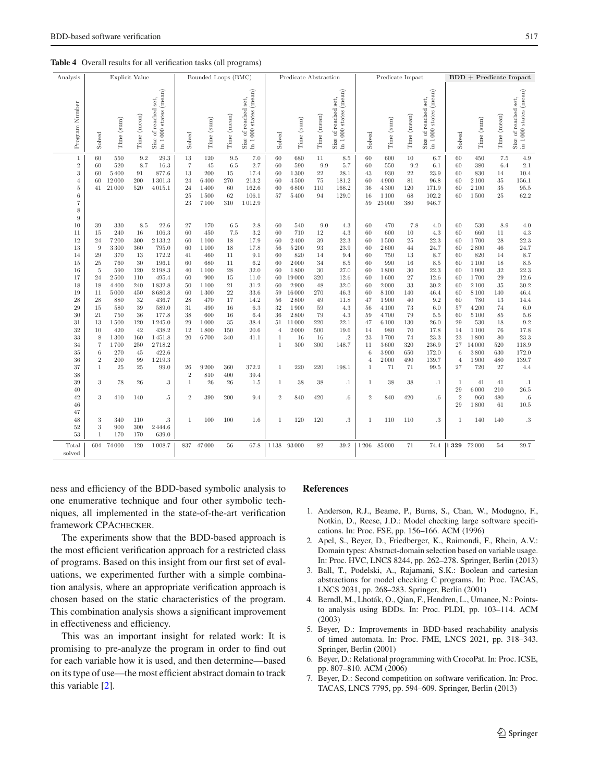| Analysis                                                                                                       |                            |                                       | Explicit Value                 |                                                  |                                                    | Bounded Loops (BMC)                              |                                            | ັອ∙                                                     | Predicate Abstraction            |                                            |                                             |                                                   | Predicate Impact                       |                                                     |                                               |                                                       | <b>BDD</b> + Predicate Impact    |                                                 |                                    |                                                 |
|----------------------------------------------------------------------------------------------------------------|----------------------------|---------------------------------------|--------------------------------|--------------------------------------------------|----------------------------------------------------|--------------------------------------------------|--------------------------------------------|---------------------------------------------------------|----------------------------------|--------------------------------------------|---------------------------------------------|---------------------------------------------------|----------------------------------------|-----------------------------------------------------|-----------------------------------------------|-------------------------------------------------------|----------------------------------|-------------------------------------------------|------------------------------------|-------------------------------------------------|
|                                                                                                                |                            |                                       |                                |                                                  |                                                    |                                                  |                                            |                                                         |                                  |                                            |                                             |                                                   |                                        |                                                     |                                               |                                                       |                                  |                                                 |                                    |                                                 |
| Program Number                                                                                                 | Solved                     | Time (sum)                            | Time (mean)                    | in 1000 states (mean)<br>set,<br>Size of reached | Solved                                             | Time (sum)                                       | Time (mean)                                | Size of reached set,<br>in $1\,000$ states (mean)       | Solved                           | Time (sum)                                 | Time (mean)                                 | Size of reached set,<br>in $1\,000$ states (mean) | Solved                                 | Time (sum)                                          | Time (mean)                                   | in 1000 states (mean)<br>set,<br>Size of reached      | Solved                           | Time (sum)                                      | Time (mean)                        | in 1000 states (mean)<br>Size of reached set    |
| $\mathbf{1}$<br>$\sqrt{2}$<br>3<br>$\overline{4}$<br>$\bf 5$<br>$\,6$<br>$\scriptstyle{7}$<br>$\,$ 8 $\,$<br>9 | 60<br>60<br>60<br>60<br>41 | 550<br>520<br>5400<br>12000<br>21 000 | 9.2<br>8.7<br>91<br>200<br>520 | 29.3<br>16.3<br>877.6<br>1301.3<br>4015.1        | 13<br>$\overline{7}$<br>13<br>24<br>24<br>25<br>23 | 120<br>45<br>200<br>6400<br>1400<br>1500<br>7100 | 9.5<br>6.5<br>15<br>270<br>60<br>62<br>310 | 7.0<br>2.7<br>17.4<br>213.2<br>162.6<br>106.1<br>1012.9 | 60<br>60<br>60<br>60<br>60<br>57 | 680<br>590<br>1300<br>4500<br>6800<br>5400 | 11<br>9.9<br>$\sqrt{22}$<br>75<br>110<br>94 | 8.5<br>5.7<br>28.1<br>181.2<br>168.2<br>129.0     | 60<br>60<br>43<br>60<br>36<br>16<br>59 | 600<br>550<br>930<br>4900<br>4300<br>1100<br>23 000 | 10<br>9.2<br>$22\,$<br>81<br>120<br>68<br>380 | 6.7<br>6.1<br>23.9<br>96.8<br>171.9<br>102.2<br>946.7 | 60<br>60<br>60<br>60<br>60<br>60 | 450<br>380<br>830<br>2 1 0 0<br>2 1 0 0<br>1500 | 7.5<br>6.4<br>14<br>35<br>35<br>25 | 4.9<br>2.1<br>10.4<br>156.1<br>$95.5\,$<br>62.2 |
| 10                                                                                                             | 39                         | 330                                   | 8.5                            | 22.6                                             | 27                                                 | 170                                              | $6.5\,$                                    | $2.8\,$                                                 | 60                               | 540                                        | $9.0\,$                                     | 4.3                                               | 60                                     | 470                                                 | 7.8                                           | 4.0                                                   | 60                               | 530                                             | 8.9                                | 4.0                                             |
| 11                                                                                                             | 15                         | 240                                   | 16                             | 106.3                                            | 60                                                 | 450                                              | 7.5                                        | 3.2                                                     | 60                               | 710                                        | 12                                          | 4.3                                               | 60                                     | 600                                                 | 10                                            | 4.3                                                   | 60                               | 660                                             | 11                                 | 4.3                                             |
| 12                                                                                                             | 24                         | 7200                                  | 300                            | 2 1 3 3 . 2                                      | 60                                                 | 1 1 0 0                                          | 18                                         | 17.9                                                    | 60                               | 2400                                       | 39                                          | 22.3                                              | 60                                     | 1500                                                | 25                                            | 22.3                                                  | 60                               | 1700                                            | 28                                 | 22.3                                            |
| 13                                                                                                             | 9                          | $3\,300$                              | 360                            | 795.0                                            | 60                                                 | 1100                                             | 18                                         | 17.8                                                    | 56                               | 5200                                       | 93                                          | 23.9                                              | 60                                     | 2600                                                | 44                                            | 24.7                                                  | 60                               | 2800                                            | 46                                 | 24.7                                            |
| 14                                                                                                             | 29                         | 370                                   | 13                             | 172.2                                            | 41                                                 | 460                                              | 11                                         | 9.1                                                     | 60                               | 820                                        | 14                                          | 9.4                                               | 60                                     | 750                                                 | 13                                            | 8.7                                                   | 60                               | 820                                             | 14                                 | 8.7                                             |
| 15                                                                                                             | 25                         | 760                                   | 30                             | 196.1                                            | 60                                                 | 680                                              | 11                                         | 6.2                                                     | 60                               | 2000                                       | 34                                          | $8.5\,$                                           | 60                                     | 990                                                 | 16                                            | 8.5                                                   | 60                               | 1 1 0 0                                         | 18                                 | 8.5                                             |
| 16                                                                                                             | 5                          | 590                                   | 120                            | 2198.3                                           | 40                                                 | 1100                                             | 28                                         | 32.0                                                    | 60                               | 1800                                       | 30                                          | 27.0                                              | 60                                     | 1800                                                | 30                                            | 22.3                                                  | 60                               | 1900                                            | 32                                 | 22.3                                            |
| 17                                                                                                             | 24                         | 2500                                  | 110                            | 495.4                                            | 60                                                 | 900                                              | 15                                         | 11.0                                                    | 60                               | 19000                                      | 320                                         | 12.6                                              | 60                                     | 1600                                                | 27                                            | 12.6                                                  | 60                               | 1700                                            | 29                                 | 12.6                                            |
| 18                                                                                                             | 18                         | 4 4 0 0                               | 240                            | 1832.8                                           | 50                                                 | 1100                                             | 21                                         | 31.2                                                    | 60                               | 2900                                       | 48                                          | 32.0                                              | 60                                     | 2000                                                | 33                                            | 30.2                                                  | 60                               | 2100                                            | 35                                 | 30.2                                            |
| 19                                                                                                             | 11                         | 5000                                  | 450                            | 8680.8                                           | 60                                                 | 1300                                             | 22                                         | 33.6                                                    | 59                               | 16 000                                     | 270                                         | 46.3                                              | 60                                     | 8 1 0 0                                             | 140                                           | 46.4                                                  | 60                               | 8 1 0 0                                         | 140                                | 46.4                                            |
| 28                                                                                                             | 28                         | 880                                   | 32                             | 436.7                                            | 28                                                 | 470                                              | 17                                         | 14.2                                                    | 56                               | 2800                                       | 49                                          | 11.8                                              | 47                                     | 1900                                                | 40                                            | 9.2                                                   | 60                               | 780                                             | 13                                 | 14.4                                            |
| 29                                                                                                             | 15                         | 580                                   | 39                             | 589.0                                            | 31                                                 | 490                                              | 16                                         | 6.3                                                     | 32                               | 1900                                       | 59                                          | 4.3                                               | 56                                     | 4 1 0 0                                             | 73                                            | 6.0                                                   | 57                               | 4 2 0 0                                         | 74                                 | 6.0                                             |
| 30                                                                                                             | 21                         | 750                                   | 36                             | 177.8                                            | 38                                                 | 600                                              | 16                                         | 6.4                                                     | 36                               | 2800                                       | 79                                          | 4.3                                               | 59                                     | 4700                                                | 79                                            | 5.5                                                   | 60                               | 5 1 0 0                                         | 85                                 | $5.6\,$                                         |
| 31                                                                                                             | 13                         | 1500                                  | 120                            | 1245.0                                           | 29                                                 | 1000                                             | 35                                         | 38.4                                                    | 51                               | 11000                                      | 220                                         | 22.1                                              | 47                                     | 6 1 0 0                                             | 130                                           | 26.0                                                  | 29                               | 530                                             | 18                                 | 9.2                                             |
| 32                                                                                                             | 10                         | 420                                   | 42                             | 438.2                                            | 12                                                 | 1800                                             | 150                                        | 20.6                                                    | $\overline{4}$                   | 2000                                       | 500                                         | 19.6                                              | 14                                     | 980                                                 | 70                                            | 17.8                                                  | 14                               | 1 1 0 0                                         | 76                                 | 17.8                                            |
| 33                                                                                                             | 8                          | 1300                                  | 160                            | 1451.8                                           | 20                                                 | 6700                                             | 340                                        | 41.1                                                    | $\mathbf{1}$                     | 16                                         | 16                                          | $\cdot$ 2                                         | 23                                     | 1700                                                | 74                                            | 23.3                                                  | 23                               | 1800                                            | 80                                 | 23.3                                            |
| 34                                                                                                             | $\overline{\tau}$          | 1700                                  | 250                            | 2718.2                                           |                                                    |                                                  |                                            |                                                         | $\mathbf{1}$                     | 300                                        | 300                                         | 148.7                                             | 11                                     | 3600                                                | 320                                           | 236.9                                                 | 27                               | 14000                                           | 520                                | 118.9                                           |
| 35                                                                                                             | 6                          | 270                                   | 45                             | 422.6                                            |                                                    |                                                  |                                            |                                                         |                                  |                                            |                                             |                                                   | 6                                      | 3900                                                | 650                                           | 172.0                                                 | 6                                | 3800                                            | 630                                | 172.0                                           |
| 36                                                                                                             | $\overline{2}$             | 200                                   | 99                             | 1219.3                                           |                                                    |                                                  |                                            |                                                         |                                  |                                            |                                             |                                                   | $\overline{4}$                         | 2000                                                | 490                                           | 139.7                                                 | $\overline{4}$                   | 1900                                            | 480                                | 139.7                                           |
| 37                                                                                                             | $\mathbf{1}$               | 25                                    | 25                             | 99.0                                             | 26                                                 | 9200                                             | 360                                        | 372.2                                                   | 1                                | 220                                        | 220                                         | 198.1                                             | $\mathbf{1}$                           | 71                                                  | 71                                            | 99.5                                                  | 27                               | 720                                             | 27                                 | 4.4                                             |
| 38                                                                                                             |                            |                                       |                                |                                                  | $\sqrt{2}$                                         | 810                                              | 400                                        | 39.4                                                    |                                  |                                            |                                             |                                                   |                                        |                                                     |                                               |                                                       |                                  |                                                 |                                    |                                                 |
| 39                                                                                                             | 3                          | 78                                    | 26                             | .3                                               | $\mathbf{1}$                                       | 26                                               | 26                                         | 1.5                                                     | 1                                | 38                                         | 38                                          | $\cdot$ 1                                         | -1                                     | 38                                                  | 38                                            | $\cdot$ 1                                             | $\mathbf{1}$                     | 41                                              | 41                                 | $.1\,$                                          |
| 40                                                                                                             |                            |                                       |                                |                                                  |                                                    |                                                  |                                            |                                                         |                                  |                                            |                                             |                                                   |                                        |                                                     |                                               |                                                       | 29                               | 6000                                            | 210                                | 26.5                                            |
| 42                                                                                                             | $\boldsymbol{3}$           | 410                                   | 140                            | $.5\,$                                           | $\overline{2}$                                     | 390                                              | 200                                        | 9.4                                                     | $\overline{2}$                   | 840                                        | 420                                         | $.6\,$                                            | $\overline{2}$                         | 840                                                 | 420                                           | $.6\,$                                                | $\overline{2}$                   | 960                                             | 480                                | $.6\,$                                          |
| 46                                                                                                             |                            |                                       |                                |                                                  |                                                    |                                                  |                                            |                                                         |                                  |                                            |                                             |                                                   |                                        |                                                     |                                               |                                                       | 29                               | 1800                                            | 61                                 | 10.5                                            |
| 47                                                                                                             |                            |                                       |                                |                                                  |                                                    |                                                  |                                            |                                                         |                                  |                                            |                                             |                                                   |                                        |                                                     |                                               |                                                       |                                  |                                                 |                                    |                                                 |
| 48                                                                                                             | 3                          | 340                                   | 110                            | .3                                               | $\mathbf{1}$                                       | 100                                              | 100                                        | 1.6                                                     | 1                                | 120                                        | 120                                         | .3                                                | $\mathbf{1}$                           | 110                                                 | 110                                           | .3                                                    | 1                                | 140                                             | 140                                | .3                                              |
| 52<br>53                                                                                                       | 3<br>$\mathbf{1}$          | 900<br>170                            | 300<br>170                     | 2444.6<br>639.0                                  |                                                    |                                                  |                                            |                                                         |                                  |                                            |                                             |                                                   |                                        |                                                     |                                               |                                                       |                                  |                                                 |                                    |                                                 |
|                                                                                                                |                            |                                       |                                |                                                  |                                                    |                                                  |                                            |                                                         |                                  |                                            |                                             |                                                   |                                        |                                                     |                                               |                                                       |                                  |                                                 |                                    |                                                 |
| Total<br>solved                                                                                                | 604                        | 74 000                                | 120                            | 1008.7                                           | 837                                                | 47000                                            | 56                                         | 67.8                                                    | 1138                             | 93 000                                     | 82                                          | 39.2                                              | 1 2 0 6                                | 85000                                               | 71                                            | 74.4                                                  | 1329                             | 72000                                           | 54                                 | 29.7                                            |

<span id="page-10-7"></span>**Table 4** Overall results for all verification tasks (all programs)

ness and efficiency of the BDD-based symbolic analysis to one enumerative technique and four other symbolic techniques, all implemented in the state-of-the-art verification framework CPACHECKER.

The experiments show that the BDD-based approach is the most efficient verification approach for a restricted class of programs. Based on this insight from our first set of evaluations, we experimented further with a simple combination analysis, where an appropriate verification approach is chosen based on the static characteristics of the program. This combination analysis shows a significant improvement in effectiveness and efficiency.

This was an important insight for related work: It is promising to pre-analyze the program in order to find out for each variable how it is used, and then determine—based on its type of use—the most efficient abstract domain to track this variable [\[2\]](#page-10-6).

#### <span id="page-10-4"></span>**References**

- 1. Anderson, R.J., Beame, P., Burns, S., Chan, W., Modugno, F., Notkin, D., Reese, J.D.: Model checking large software specifications. In: Proc. FSE, pp. 156–166. ACM (1996)
- <span id="page-10-6"></span>2. Apel, S., Beyer, D., Friedberger, K., Raimondi, F., Rhein, A.V.: Domain types: Abstract-domain selection based on variable usage. In: Proc. HVC, LNCS 8244, pp. 262–278. Springer, Berlin (2013)
- <span id="page-10-2"></span>3. Ball, T., Podelski, A., Rajamani, S.K.: Boolean and cartesian abstractions for model checking C programs. In: Proc. TACAS, LNCS 2031, pp. 268–283. Springer, Berlin (2001)
- <span id="page-10-1"></span>4. Berndl, M., Lhoták, O., Qian, F., Hendren, L., Umanee, N.: Pointsto analysis using BDDs. In: Proc. PLDI, pp. 103–114. ACM (2003)
- <span id="page-10-5"></span>5. Beyer, D.: Improvements in BDD-based reachability analysis of timed automata. In: Proc. FME, LNCS 2021, pp. 318–343. Springer, Berlin (2001)
- <span id="page-10-0"></span>6. Beyer, D.: Relational programming with CrocoPat. In: Proc. ICSE, pp. 807–810. ACM (2006)
- <span id="page-10-3"></span>7. Beyer, D.: Second competition on software verification. In: Proc. TACAS, LNCS 7795, pp. 594–609. Springer, Berlin (2013)